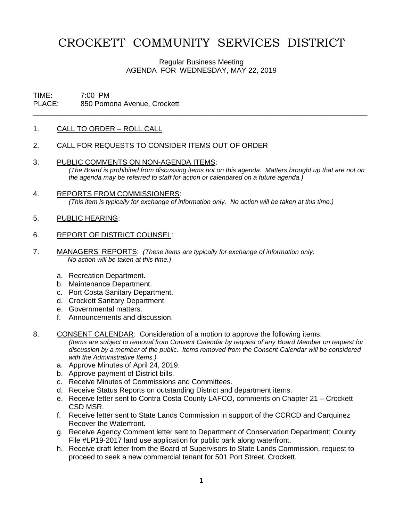# CROCKETT COMMUNITY SERVICES DISTRICT

Regular Business Meeting AGENDA FOR WEDNESDAY, MAY 22, 2019

\_\_\_\_\_\_\_\_\_\_\_\_\_\_\_\_\_\_\_\_\_\_\_\_\_\_\_\_\_\_\_\_\_\_\_\_\_\_\_\_\_\_\_\_\_\_\_\_\_\_\_\_\_\_\_\_\_\_\_\_\_\_\_\_\_\_\_\_\_\_\_\_\_\_\_\_\_\_\_\_\_\_\_

# TIME: 7:00 PM PLACE: 850 Pomona Avenue, Crockett

### 1. CALL TO ORDER – ROLL CALL

### 2. CALL FOR REQUESTS TO CONSIDER ITEMS OUT OF ORDER

- 3. PUBLIC COMMENTS ON NON-AGENDA ITEMS: *(The Board is prohibited from discussing items not on this agenda. Matters brought up that are not on the agenda may be referred to staff for action or calendared on a future agenda.)*
- 4. REPORTS FROM COMMISSIONERS: *(This item is typically for exchange of information only. No action will be taken at this time.)*
- 5. PUBLIC HEARING:

#### 6. REPORT OF DISTRICT COUNSEL:

- 7. MANAGERS' REPORTS: *(These items are typically for exchange of information only. No action will be taken at this time.)*
	- a. Recreation Department.
	- b. Maintenance Department.
	- c. Port Costa Sanitary Department.
	- d. Crockett Sanitary Department.
	- e. Governmental matters.
	- f. Announcements and discussion.
- 8. CONSENT CALENDAR: Consideration of a motion to approve the following items:

*(Items are subject to removal from Consent Calendar by request of any Board Member on request for discussion by a member of the public. Items removed from the Consent Calendar will be considered with the Administrative Items.)*

- a. Approve Minutes of April 24, 2019.
- b. Approve payment of District bills.
- c. Receive Minutes of Commissions and Committees.
- d. Receive Status Reports on outstanding District and department items.
- e. Receive letter sent to Contra Costa County LAFCO, comments on Chapter 21 Crockett CSD MSR.
- f. Receive letter sent to State Lands Commission in support of the CCRCD and Carquinez Recover the Waterfront.
- g. Receive Agency Comment letter sent to Department of Conservation Department; County File #LP19-2017 land use application for public park along waterfront.
- h. Receive draft letter from the Board of Supervisors to State Lands Commission, request to proceed to seek a new commercial tenant for 501 Port Street, Crockett.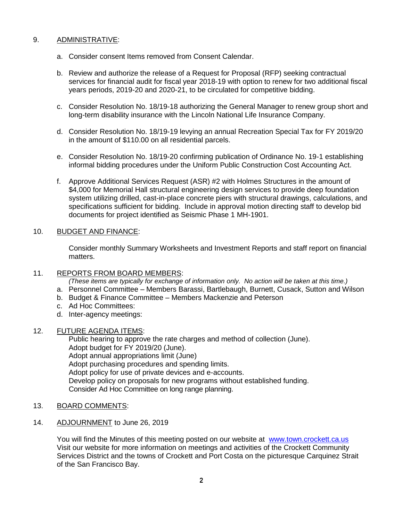# 9. ADMINISTRATIVE:

- a. Consider consent Items removed from Consent Calendar.
- b. Review and authorize the release of a Request for Proposal (RFP) seeking contractual services for financial audit for fiscal year 2018-19 with option to renew for two additional fiscal years periods, 2019-20 and 2020-21, to be circulated for competitive bidding.
- c. Consider Resolution No. 18/19-18 authorizing the General Manager to renew group short and long-term disability insurance with the Lincoln National Life Insurance Company.
- d. Consider Resolution No. 18/19-19 levying an annual Recreation Special Tax for FY 2019/20 in the amount of \$110.00 on all residential parcels.
- e. Consider Resolution No. 18/19-20 confirming publication of Ordinance No. 19-1 establishing informal bidding procedures under the Uniform Public Construction Cost Accounting Act.
- f. Approve Additional Services Request (ASR) #2 with Holmes Structures in the amount of \$4,000 for Memorial Hall structural engineering design services to provide deep foundation system utilizing drilled, cast-in-place concrete piers with structural drawings, calculations, and specifications sufficient for bidding. Include in approval motion directing staff to develop bid documents for project identified as Seismic Phase 1 MH-1901.

# 10. BUDGET AND FINANCE:

Consider monthly Summary Worksheets and Investment Reports and staff report on financial matters.

### 11. REPORTS FROM BOARD MEMBERS:

*(These items are typically for exchange of information only. No action will be taken at this time.)*

- a. Personnel Committee Members Barassi, Bartlebaugh, Burnett, Cusack, Sutton and Wilson
- b. Budget & Finance Committee Members Mackenzie and Peterson
- c. Ad Hoc Committees:
- d. Inter-agency meetings:

# 12. FUTURE AGENDA ITEMS:

Public hearing to approve the rate charges and method of collection (June). Adopt budget for FY 2019/20 (June). Adopt annual appropriations limit (June) Adopt purchasing procedures and spending limits. Adopt policy for use of private devices and e-accounts. Develop policy on proposals for new programs without established funding. Consider Ad Hoc Committee on long range planning.

13. BOARD COMMENTS:

# 14. ADJOURNMENT to June 26, 2019

You will find the Minutes of this meeting posted on our website at [www.town.crockett.ca.us](http://www.town.crockett.ca.us/)  Visit our website for more information on meetings and activities of the Crockett Community Services District and the towns of Crockett and Port Costa on the picturesque Carquinez Strait of the San Francisco Bay.